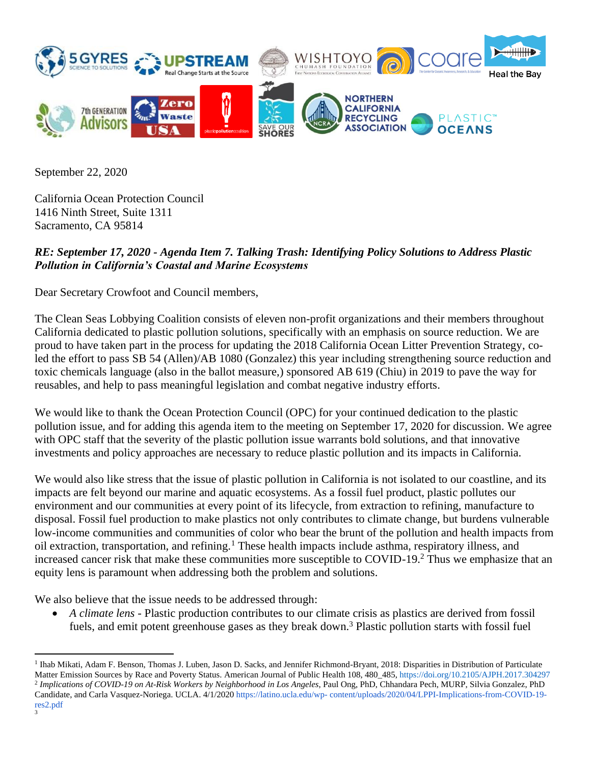

September 22, 2020

California Ocean Protection Council 1416 Ninth Street, Suite 1311 Sacramento, CA 95814

## *RE: September 17, 2020 - Agenda Item 7. Talking Trash: Identifying Policy Solutions to Address Plastic Pollution in California's Coastal and Marine Ecosystems*

Dear Secretary Crowfoot and Council members,

The Clean Seas Lobbying Coalition consists of eleven non-profit organizations and their members throughout California dedicated to plastic pollution solutions, specifically with an emphasis on source reduction. We are proud to have taken part in the process for updating the 2018 California Ocean Litter Prevention Strategy, coled the effort to pass SB 54 (Allen)/AB 1080 (Gonzalez) this year including strengthening source reduction and toxic chemicals language (also in the ballot measure,) sponsored AB 619 (Chiu) in 2019 to pave the way for reusables, and help to pass meaningful legislation and combat negative industry efforts.

We would like to thank the Ocean Protection Council (OPC) for your continued dedication to the plastic pollution issue, and for adding this agenda item to the meeting on September 17, 2020 for discussion. We agree with OPC staff that the severity of the plastic pollution issue warrants bold solutions, and that innovative investments and policy approaches are necessary to reduce plastic pollution and its impacts in California.

We would also like stress that the issue of plastic pollution in California is not isolated to our coastline, and its impacts are felt beyond our marine and aquatic ecosystems. As a fossil fuel product, plastic pollutes our environment and our communities at every point of its lifecycle, from extraction to refining, manufacture to disposal. Fossil fuel production to make plastics not only contributes to climate change, but burdens vulnerable low-income communities and communities of color who bear the brunt of the pollution and health impacts from oil extraction, transportation, and refining.<sup>1</sup> These health impacts include asthma, respiratory illness, and increased cancer risk that make these communities more susceptible to COVID-19.<sup>2</sup> Thus we emphasize that an equity lens is paramount when addressing both the problem and solutions.

We also believe that the issue needs to be addressed through:

• *A climate lens* - Plastic production contributes to our climate crisis as plastics are derived from fossil fuels, and emit potent greenhouse gases as they break down.<sup>3</sup> Plastic pollution starts with fossil fuel

<sup>&</sup>lt;sup>1</sup> Ihab Mikati, Adam F. Benson, Thomas J. Luben, Jason D. Sacks, and Jennifer Richmond-Bryant, 2018: Disparities in Distribution of Particulate Matter Emission Sources by Race and Poverty Status. American Journal of Public Health 108, 480\_485, https://doi.org/10.2105/AJPH.2017.304297 2 *Implications of COVID-19 on At-Risk Workers by Neighborhood in Los Angeles*, Paul Ong, PhD, Chhandara Pech, MURP, Silvia Gonzalez, PhD Candidate, and Carla Vasquez-Noriega. UCLA. 4/1/2020 https://latino.ucla.edu/wp- content/uploads/2020/04/LPPI-Implications-from-COVID-19 res2.pdf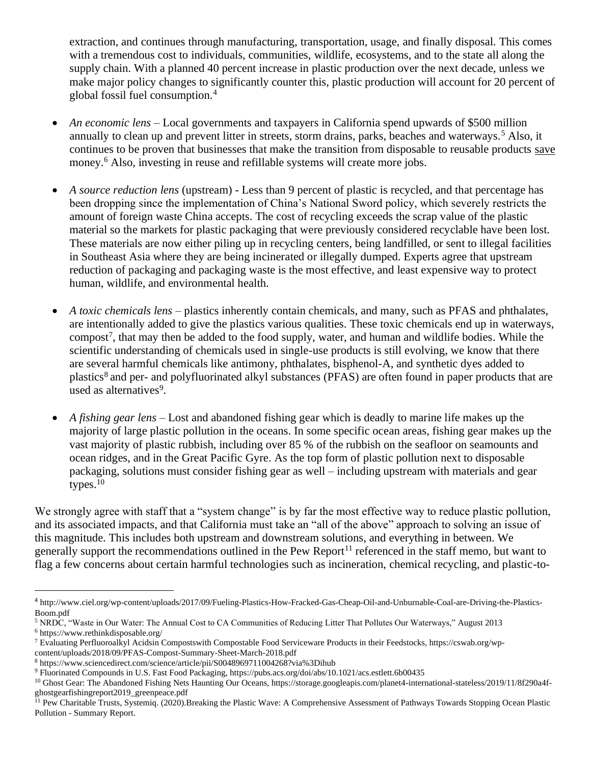extraction, and continues through manufacturing, transportation, usage, and finally disposal. This comes with a tremendous cost to individuals, communities, wildlife, ecosystems, and to the state all along the supply chain. With a planned 40 percent increase in plastic production over the next decade, unless we make major policy changes to significantly counter this, plastic production will account for 20 percent of global fossil fuel consumption.<sup>4</sup>

- *An economic lens* Local governments and taxpayers in California spend upwards of \$500 million annually to clean up and prevent litter in streets, storm drains, parks, beaches and waterways.<sup>5</sup> Also, it continues to be proven that businesses that make the transition from disposable to reusable products save money.<sup>6</sup> Also, investing in reuse and refillable systems will create more jobs.
- *A source reduction lens* (upstream) Less than 9 percent of plastic is recycled, and that percentage has been dropping since the implementation of China's National Sword policy, which severely restricts the amount of foreign waste China accepts. The cost of recycling exceeds the scrap value of the plastic material so the markets for plastic packaging that were previously considered recyclable have been lost. These materials are now either piling up in recycling centers, being landfilled, or sent to illegal facilities in Southeast Asia where they are being incinerated or illegally dumped. Experts agree that upstream reduction of packaging and packaging waste is the most effective, and least expensive way to protect human, wildlife, and environmental health.
- *A toxic chemicals lens* plastics inherently contain chemicals, and many, such as PFAS and phthalates, are intentionally added to give the plastics various qualities. These toxic chemicals end up in waterways, compost<sup>7</sup>, that may then be added to the food supply, water, and human and wildlife bodies. While the scientific understanding of chemicals used in single-use products is still evolving, we know that there are several harmful chemicals like antimony, phthalates, bisphenol-A, and synthetic dyes added to plastics<sup>8</sup> and per- and polyfluorinated alkyl substances (PFAS) are often found in paper products that are used as alternatives<sup>9</sup>.
- *A fishing gear lens* Lost and abandoned fishing gear which is deadly to marine life makes up the majority of large plastic pollution in the oceans. In some specific ocean areas, fishing gear makes up the vast majority of plastic rubbish, including over 85 % of the rubbish on the seafloor on seamounts and ocean ridges, and in the Great Pacific Gyre. As the top form of plastic pollution next to disposable packaging, solutions must consider fishing gear as well – including upstream with materials and gear types. $10$

We strongly agree with staff that a "system change" is by far the most effective way to reduce plastic pollution, and its associated impacts, and that California must take an "all of the above" approach to solving an issue of this magnitude. This includes both upstream and downstream solutions, and everything in between. We generally support the recommendations outlined in the Pew Report<sup>11</sup> referenced in the staff memo, but want to flag a few concerns about certain harmful technologies such as incineration, chemical recycling, and plastic-to-

<sup>4</sup> http://www.ciel.org/wp-content/uploads/2017/09/Fueling-Plastics-How-Fracked-Gas-Cheap-Oil-and-Unburnable-Coal-are-Driving-the-Plastics-Boom.pdf

<sup>5</sup> NRDC, "Waste in Our Water: The Annual Cost to CA Communities of Reducing Litter That Pollutes Our Waterways," August 2013 <sup>6</sup> https://www.rethinkdisposable.org/

<sup>7</sup> Evaluating Perfluoroalkyl Acidsin Compostswith Compostable Food Serviceware Products in their Feedstocks, https://cswab.org/wpcontent/uploads/2018/09/PFAS-Compost-Summary-Sheet-March-2018.pdf

<sup>8</sup> https://www.sciencedirect.com/science/article/pii/S0048969711004268?via%3Dihub

<sup>9</sup> Fluorinated Compounds in U.S. Fast Food Packaging, https://pubs.acs.org/doi/abs/10.1021/acs.estlett.6b00435

<sup>&</sup>lt;sup>10</sup> Ghost Gear: The Abandoned Fishing Nets Haunting Our Oceans, https://storage.googleapis.com/planet4-international-stateless/2019/11/8f290a4fghostgearfishingreport2019\_greenpeace.pdf

<sup>&</sup>lt;sup>11</sup> Pew Charitable Trusts, Systemiq. (2020).Breaking the Plastic Wave: A Comprehensive Assessment of Pathways Towards Stopping Ocean Plastic Pollution - Summary Report.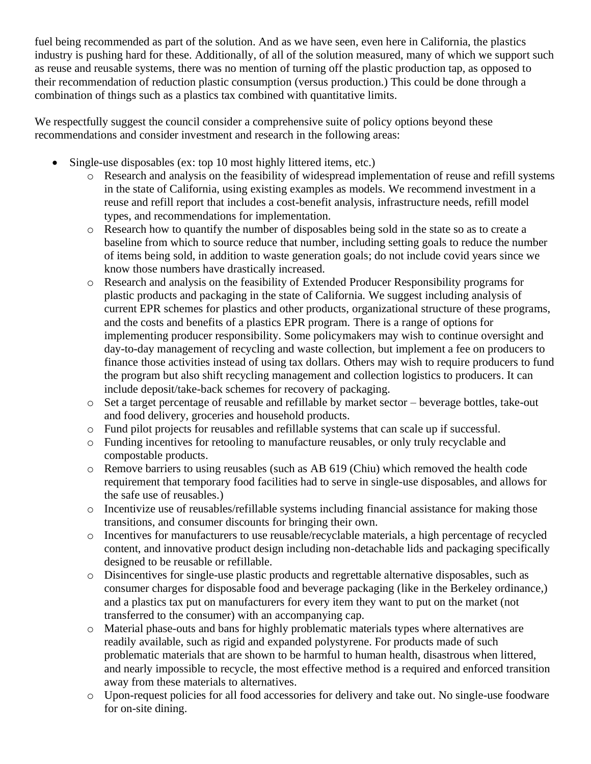fuel being recommended as part of the solution. And as we have seen, even here in California, the plastics industry is pushing hard for these. Additionally, of all of the solution measured, many of which we support such as reuse and reusable systems, there was no mention of turning off the plastic production tap, as opposed to their recommendation of reduction plastic consumption (versus production.) This could be done through a combination of things such as a plastics tax combined with quantitative limits.

We respectfully suggest the council consider a comprehensive suite of policy options beyond these recommendations and consider investment and research in the following areas:

- Single-use disposables (ex: top 10 most highly littered items, etc.)
	- o Research and analysis on the feasibility of widespread implementation of reuse and refill systems in the state of California, using existing examples as models. We recommend investment in a reuse and refill report that includes a cost-benefit analysis, infrastructure needs, refill model types, and recommendations for implementation.
	- $\circ$  Research how to quantify the number of disposables being sold in the state so as to create a baseline from which to source reduce that number, including setting goals to reduce the number of items being sold, in addition to waste generation goals; do not include covid years since we know those numbers have drastically increased.
	- o Research and analysis on the feasibility of Extended Producer Responsibility programs for plastic products and packaging in the state of California. We suggest including analysis of current EPR schemes for plastics and other products, organizational structure of these programs, and the costs and benefits of a plastics EPR program. There is a range of options for implementing producer responsibility. Some policymakers may wish to continue oversight and day-to-day management of recycling and waste collection, but implement a fee on producers to finance those activities instead of using tax dollars. Others may wish to require producers to fund the program but also shift recycling management and collection logistics to producers. It can include deposit/take-back schemes for recovery of packaging.
	- o Set a target percentage of reusable and refillable by market sector beverage bottles, take-out and food delivery, groceries and household products.
	- o Fund pilot projects for reusables and refillable systems that can scale up if successful.
	- o Funding incentives for retooling to manufacture reusables, or only truly recyclable and compostable products.
	- o Remove barriers to using reusables (such as AB 619 (Chiu) which removed the health code requirement that temporary food facilities had to serve in single-use disposables, and allows for the safe use of reusables.)
	- o Incentivize use of reusables/refillable systems including financial assistance for making those transitions, and consumer discounts for bringing their own.
	- o Incentives for manufacturers to use reusable/recyclable materials, a high percentage of recycled content, and innovative product design including non-detachable lids and packaging specifically designed to be reusable or refillable.
	- o Disincentives for single-use plastic products and regrettable alternative disposables, such as consumer charges for disposable food and beverage packaging (like in the Berkeley ordinance,) and a plastics tax put on manufacturers for every item they want to put on the market (not transferred to the consumer) with an accompanying cap.
	- o Material phase-outs and bans for highly problematic materials types where alternatives are readily available, such as rigid and expanded polystyrene. For products made of such problematic materials that are shown to be harmful to human health, disastrous when littered, and nearly impossible to recycle, the most effective method is a required and enforced transition away from these materials to alternatives.
	- o Upon-request policies for all food accessories for delivery and take out. No single-use foodware for on-site dining.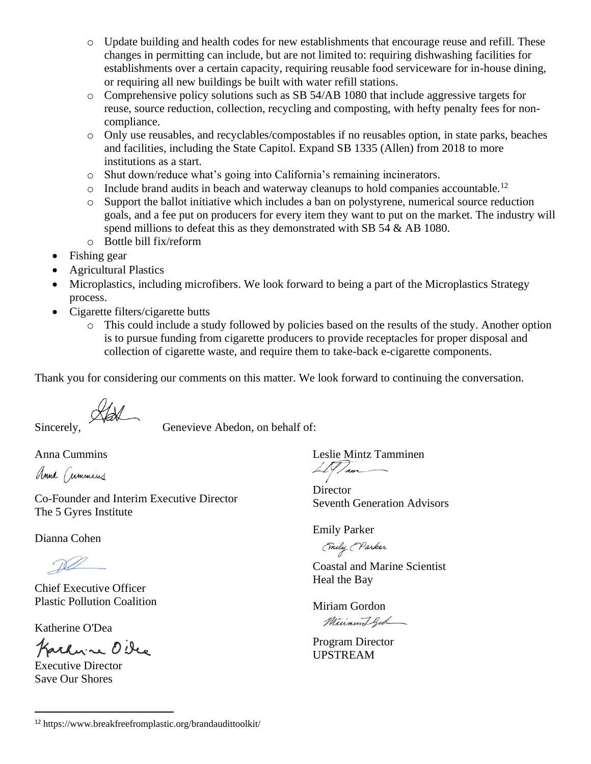- o Update building and health codes for new establishments that encourage reuse and refill. These changes in permitting can include, but are not limited to: requiring dishwashing facilities for establishments over a certain capacity, requiring reusable food serviceware for in-house dining, or requiring all new buildings be built with water refill stations.
- o Comprehensive policy solutions such as SB 54/AB 1080 that include aggressive targets for reuse, source reduction, collection, recycling and composting, with hefty penalty fees for noncompliance.
- o Only use reusables, and recyclables/compostables if no reusables option, in state parks, beaches and facilities, including the State Capitol. Expand SB 1335 (Allen) from 2018 to more institutions as a start.
- o Shut down/reduce what's going into California's remaining incinerators.
- $\circ$  Include brand audits in beach and waterway cleanups to hold companies accountable.<sup>12</sup>
- o Support the ballot initiative which includes a ban on polystyrene, numerical source reduction goals, and a fee put on producers for every item they want to put on the market. The industry will spend millions to defeat this as they demonstrated with SB 54 & AB 1080.
- o Bottle bill fix/reform
- Fishing gear
- Agricultural Plastics
- Microplastics, including microfibers. We look forward to being a part of the Microplastics Strategy process.
- Cigarette filters/cigarette butts
	- o This could include a study followed by policies based on the results of the study. Another option is to pursue funding from cigarette producers to provide receptacles for proper disposal and collection of cigarette waste, and require them to take-back e-cigarette components.

Thank you for considering our comments on this matter. We look forward to continuing the conversation.

Sincerely, Genevieve Abedon, on behalf of:

Anna Cummins

Anna Cummins

Co-Founder and Interim Executive Director The 5 Gyres Institute

Dianna Cohen

Chief Executive Officer Plastic Pollution Coalition

Katherine O'Dea

Karlyn O'Dec

Executive Director Save Our Shores

Leslie Mintz Tamminen  $\angle N$ am

**Director** Seventh Generation Advisors

Emily Parker

(mily (Parker

Coastal and Marine Scientist Heal the Bay

Miriam Gordon Minamiffed

Program Director UPSTREAM

<sup>12</sup> https://www.breakfreefromplastic.org/brandaudittoolkit/